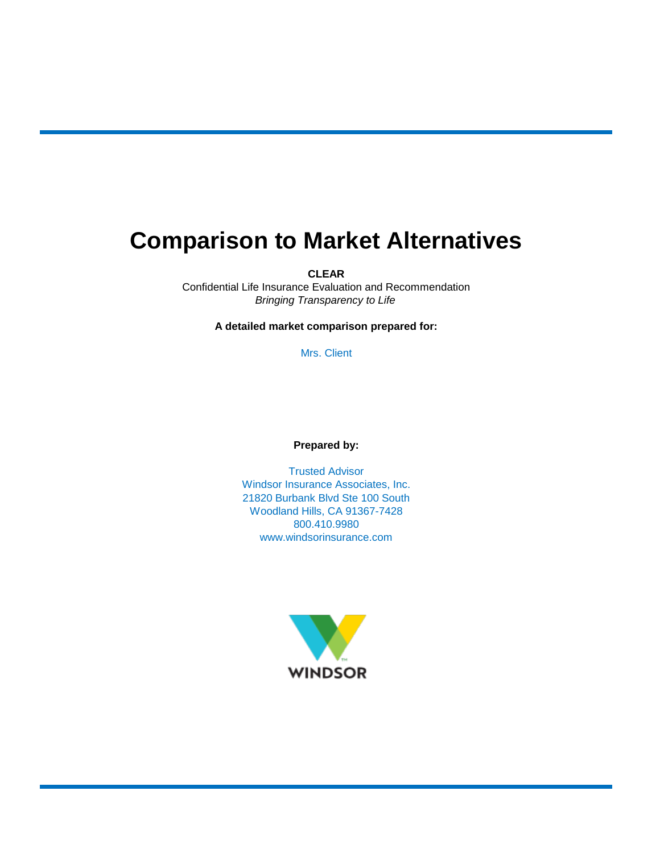# **Comparison to Market Alternatives**

**CLEAR**

*Bringing Transparency to Life* Confidential Life Insurance Evaluation and Recommendation

**A detailed market comparison prepared for:**

Mrs. Client

**Prepared by:**

21820 Burbank Blvd Ste 100 South Woodland Hills, CA 91367-7428 800.410.9980 www.windsorinsurance.com Windsor Insurance Associates, Inc. Trusted Advisor

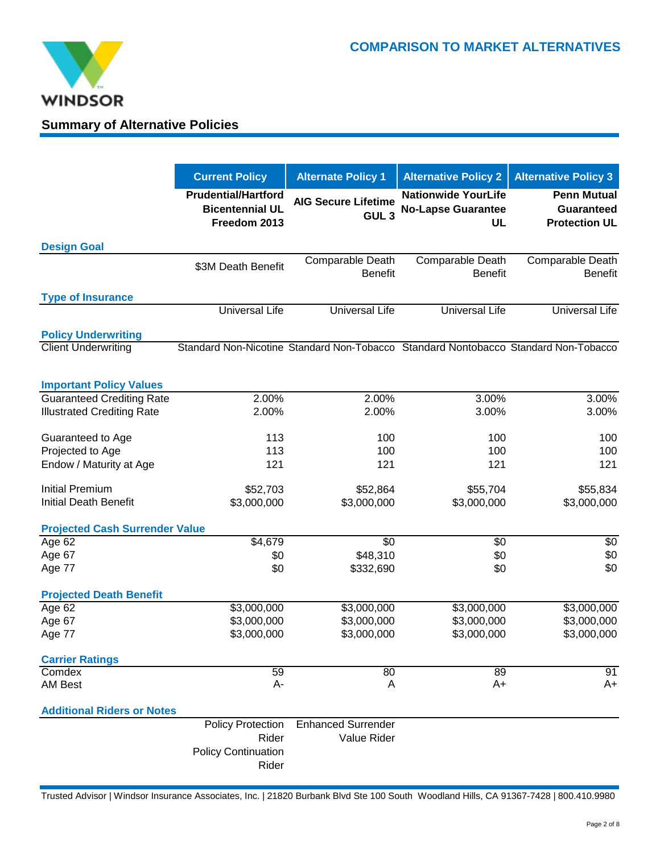

# **Summary of Alternative Policies**

|                                       | <b>Current Policy</b>                                                | <b>Alternate Policy 1</b>                      | <b>Alternative Policy 2</b>                                                         | <b>Alternative Policy 3</b>                                     |  |  |
|---------------------------------------|----------------------------------------------------------------------|------------------------------------------------|-------------------------------------------------------------------------------------|-----------------------------------------------------------------|--|--|
|                                       | <b>Prudential/Hartford</b><br><b>Bicentennial UL</b><br>Freedom 2013 | <b>AIG Secure Lifetime</b><br>GUL <sub>3</sub> | <b>Nationwide YourLife</b><br><b>No-Lapse Guarantee</b><br>UL                       | <b>Penn Mutual</b><br><b>Guaranteed</b><br><b>Protection UL</b> |  |  |
| <b>Design Goal</b>                    |                                                                      |                                                |                                                                                     |                                                                 |  |  |
|                                       | \$3M Death Benefit                                                   | Comparable Death<br><b>Benefit</b>             | Comparable Death<br><b>Benefit</b>                                                  | Comparable Death<br><b>Benefit</b>                              |  |  |
| <b>Type of Insurance</b>              | <b>Universal Life</b>                                                | <b>Universal Life</b>                          | <b>Universal Life</b>                                                               | <b>Universal Life</b>                                           |  |  |
|                                       |                                                                      |                                                |                                                                                     |                                                                 |  |  |
| <b>Policy Underwriting</b>            |                                                                      |                                                |                                                                                     |                                                                 |  |  |
| <b>Client Underwriting</b>            |                                                                      |                                                | Standard Non-Nicotine Standard Non-Tobacco Standard Nontobacco Standard Non-Tobacco |                                                                 |  |  |
|                                       |                                                                      |                                                |                                                                                     |                                                                 |  |  |
| <b>Important Policy Values</b>        |                                                                      |                                                |                                                                                     |                                                                 |  |  |
| <b>Guaranteed Crediting Rate</b>      | 2.00%                                                                | 2.00%                                          | 3.00%                                                                               | 3.00%                                                           |  |  |
| <b>Illustrated Crediting Rate</b>     | 2.00%                                                                | 2.00%                                          | 3.00%                                                                               | 3.00%                                                           |  |  |
| Guaranteed to Age                     | 113                                                                  | 100                                            | 100                                                                                 | 100                                                             |  |  |
| Projected to Age                      | 113                                                                  | 100                                            | 100                                                                                 | 100                                                             |  |  |
| Endow / Maturity at Age               | 121                                                                  | 121                                            | 121                                                                                 | 121                                                             |  |  |
| <b>Initial Premium</b>                | \$52,703                                                             | \$52,864                                       | \$55,704                                                                            | \$55,834                                                        |  |  |
| <b>Initial Death Benefit</b>          | \$3,000,000                                                          | \$3,000,000                                    | \$3,000,000                                                                         | \$3,000,000                                                     |  |  |
| <b>Projected Cash Surrender Value</b> |                                                                      |                                                |                                                                                     |                                                                 |  |  |
| Age 62                                | \$4,679                                                              | \$0                                            | \$0                                                                                 | \$0                                                             |  |  |
| Age 67                                | \$0                                                                  | \$48,310                                       | \$0                                                                                 | \$0                                                             |  |  |
| Age 77                                | \$0                                                                  | \$332,690                                      | \$0                                                                                 | \$0                                                             |  |  |
| <b>Projected Death Benefit</b>        |                                                                      |                                                |                                                                                     |                                                                 |  |  |
| Age 62                                | \$3,000,000                                                          | \$3,000,000                                    | \$3,000,000                                                                         | \$3,000,000                                                     |  |  |
| Age 67                                | \$3,000,000                                                          | \$3,000,000                                    | \$3,000,000                                                                         | \$3,000,000                                                     |  |  |
| Age 77                                | \$3,000,000                                                          | \$3,000,000                                    | \$3,000,000                                                                         | \$3,000,000                                                     |  |  |
| <b>Carrier Ratings</b>                |                                                                      |                                                |                                                                                     |                                                                 |  |  |
| Comdex                                | 59                                                                   | 80                                             | 89                                                                                  | 91                                                              |  |  |
| <b>AM Best</b>                        | А-                                                                   | Α                                              | A+                                                                                  | $A+$                                                            |  |  |
| <b>Additional Riders or Notes</b>     |                                                                      |                                                |                                                                                     |                                                                 |  |  |
|                                       | <b>Policy Protection</b>                                             | <b>Enhanced Surrender</b>                      |                                                                                     |                                                                 |  |  |
|                                       | Rider                                                                | Value Rider                                    |                                                                                     |                                                                 |  |  |
|                                       | <b>Policy Continuation</b>                                           |                                                |                                                                                     |                                                                 |  |  |
|                                       | Rider                                                                |                                                |                                                                                     |                                                                 |  |  |

Trusted Advisor | Windsor Insurance Associates, Inc. | 21820 Burbank Blvd Ste 100 South Woodland Hills, CA 91367-7428 | 800.410.9980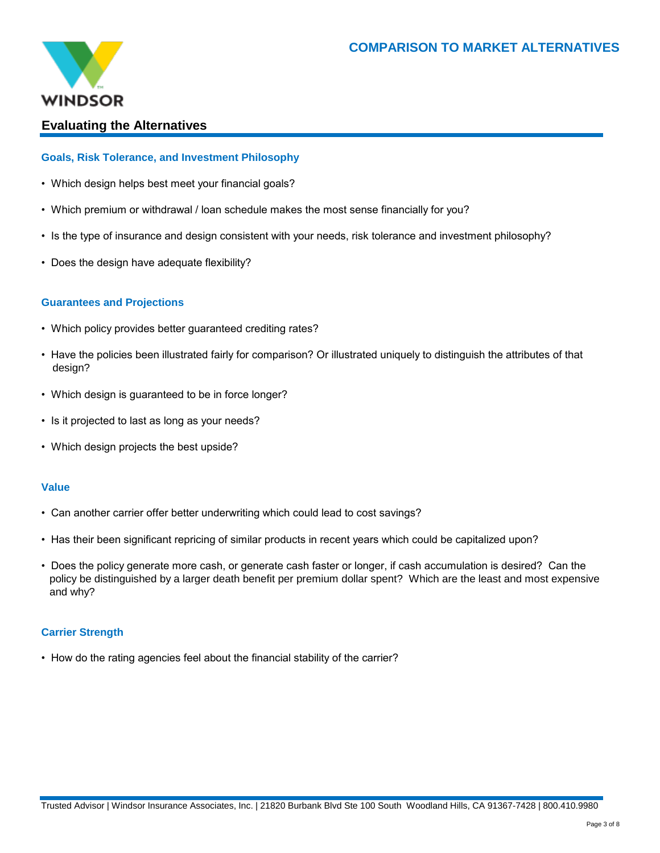

# **Evaluating the Alternatives**

# **Goals, Risk Tolerance, and Investment Philosophy**

- Which design helps best meet your financial goals?
- Which premium or withdrawal / loan schedule makes the most sense financially for you?
- Is the type of insurance and design consistent with your needs, risk tolerance and investment philosophy?
- Does the design have adequate flexibility?

# **Guarantees and Projections**

- Which policy provides better guaranteed crediting rates?
- design? • Have the policies been illustrated fairly for comparison? Or illustrated uniquely to distinguish the attributes of that
- Which design is guaranteed to be in force longer?
- Is it projected to last as long as your needs?
- Which design projects the best upside?

# **Value**

- Can another carrier offer better underwriting which could lead to cost savings?
- Has their been significant repricing of similar products in recent years which could be capitalized upon?
- and why? • Does the policy generate more cash, or generate cash faster or longer, if cash accumulation is desired? Can the policy be distinguished by a larger death benefit per premium dollar spent? Which are the least and most expensive

# **Carrier Strength**

• How do the rating agencies feel about the financial stability of the carrier?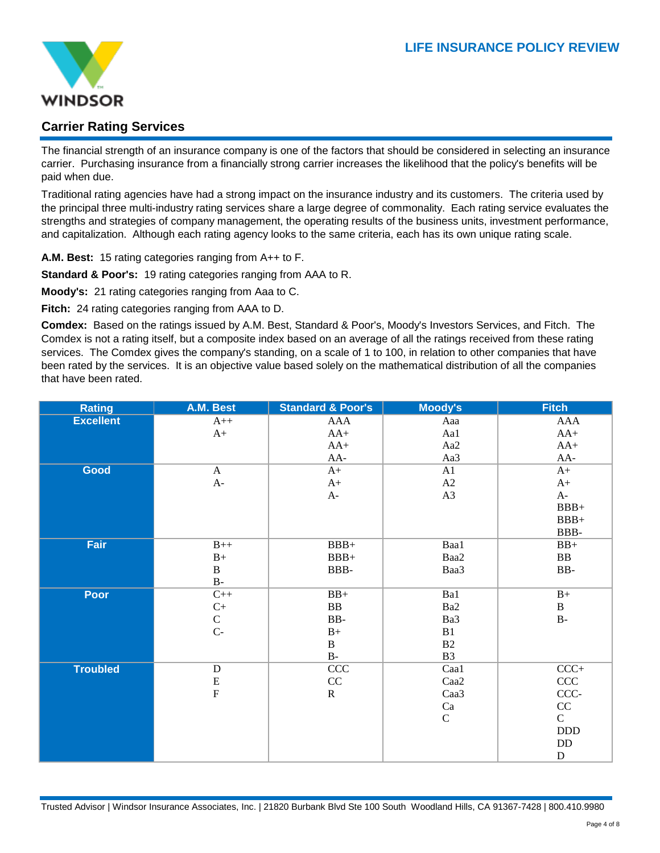

# **Carrier Rating Services**

The financial strength of an insurance company is one of the factors that should be considered in selecting an insurance carrier. Purchasing insurance from a financially strong carrier increases the likelihood that the policy's benefits will be paid when due.

Traditional rating agencies have had a strong impact on the insurance industry and its customers. The criteria used by the principal three multi-industry rating services share a large degree of commonality. Each rating service evaluates the strengths and strategies of company management, the operating results of the business units, investment performance, and capitalization. Although each rating agency looks to the same criteria, each has its own unique rating scale.

**A.M. Best:** 15 rating categories ranging from A++ to F.

**Standard & Poor's:** 19 rating categories ranging from AAA to R.

**Moody's:** 21 rating categories ranging from Aaa to C.

**Fitch:** 24 rating categories ranging from AAA to D.

**Comdex:** Based on the ratings issued by A.M. Best, Standard & Poor's, Moody's Investors Services, and Fitch. The Comdex is not a rating itself, but a composite index based on an average of all the ratings received from these rating services. The Comdex gives the company's standing, on a scale of 1 to 100, in relation to other companies that have been rated by the services. It is an objective value based solely on the mathematical distribution of all the companies that have been rated.

| <b>Rating</b>    | A.M. Best      | <b>Standard &amp; Poor's</b> | Moody's        | <b>Fitch</b>  |
|------------------|----------------|------------------------------|----------------|---------------|
| <b>Excellent</b> | $A++$          | AAA                          | Aaa            | AAA           |
|                  | $A+$           | $AA+$                        | Aa1            | $AA+$         |
|                  |                | $AA+$                        | Aa2            | $AA+$         |
|                  |                | $AA-$                        | Aa3            | AA-           |
| Good             | A              | $A+$                         | A1             | $A+$          |
|                  | $A-$           | $A+$                         | A2             | $A+$          |
|                  |                | $A-$                         | A3             | $A-$          |
|                  |                |                              |                | $BBB+$        |
|                  |                |                              |                | $BBB+$        |
|                  |                |                              |                | BBB-          |
| Fair             | $B++$          | $BBB+$                       | Baa1           | $BB+$         |
|                  | $B+$           | $BBB+$                       | Baa2           | ${\bf BB}$    |
|                  | $\bf{B}$       | BBB-                         | Baa3           | $BB-$         |
|                  | $B -$          |                              |                |               |
| <b>Poor</b>      | $C++$          | $BB+$                        | Ba1            | $\mathbf{B}+$ |
|                  | $C+$           | ${\bf BB}$                   | Ba2            | $\, {\bf B}$  |
|                  | $\mathsf C$    | BB-                          | Ba3            | $\rm B$ -     |
|                  | $C-$           | $B+$                         | B1             |               |
|                  |                | $\, {\bf B}$                 | B2             |               |
|                  |                | $\mathbf{B}\text{-}$         | B <sub>3</sub> |               |
| <b>Troubled</b>  | $\mathbf D$    | CCC                          | Caa1           | $CCC+$        |
|                  | ${\bf E}$      | $\rm CC$                     | Caa2           | CCC           |
|                  | $\overline{F}$ | $\mathbf R$                  | Caa3           | CCC-          |
|                  |                |                              | Ca             | $\rm CC$      |
|                  |                |                              | ${\bf C}$      | $\mathsf C$   |
|                  |                |                              |                | $\rm DDD$     |
|                  |                |                              |                | $\rm{DD}$     |
|                  |                |                              |                | $\mathbf D$   |

Trusted Advisor | Windsor Insurance Associates, Inc. | 21820 Burbank Blvd Ste 100 South Woodland Hills, CA 91367-7428 | 800.410.9980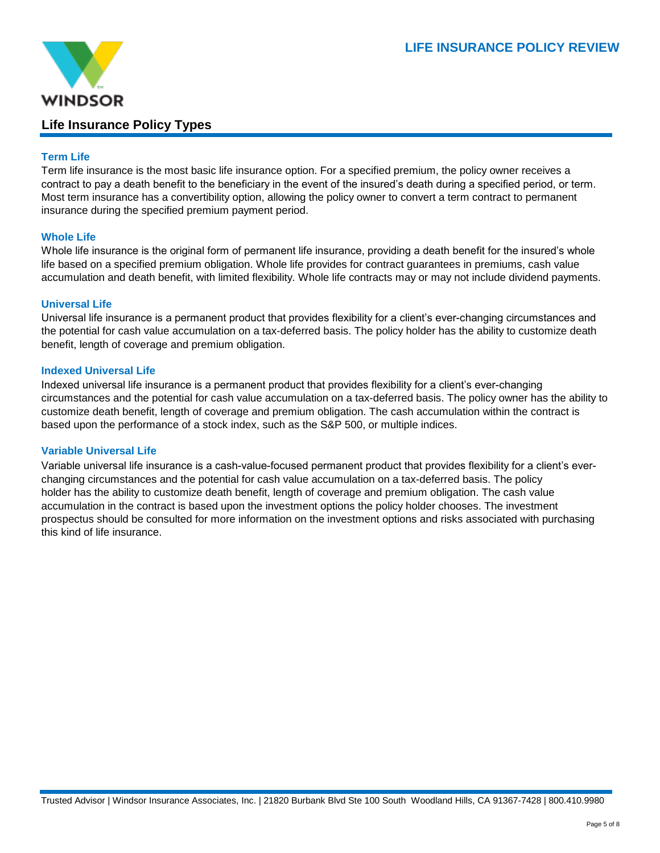

# **Life Insurance Policy Types**

# **Term Life**

Term life insurance is the most basic life insurance option. For a specified premium, the policy owner receives a contract to pay a death benefit to the beneficiary in the event of the insured's death during a specified period, or term. Most term insurance has a convertibility option, allowing the policy owner to convert a term contract to permanent insurance during the specified premium payment period.

# **Whole Life**

Whole life insurance is the original form of permanent life insurance, providing a death benefit for the insured's whole life based on a specified premium obligation. Whole life provides for contract guarantees in premiums, cash value accumulation and death benefit, with limited flexibility. Whole life contracts may or may not include dividend payments.

# **Universal Life**

Universal life insurance is a permanent product that provides flexibility for a client's ever-changing circumstances and the potential for cash value accumulation on a tax-deferred basis. The policy holder has the ability to customize death benefit, length of coverage and premium obligation.

# **Indexed Universal Life**

Indexed universal life insurance is a permanent product that provides flexibility for a client's ever-changing circumstances and the potential for cash value accumulation on a tax-deferred basis. The policy owner has the ability to customize death benefit, length of coverage and premium obligation. The cash accumulation within the contract is based upon the performance of a stock index, such as the S&P 500, or multiple indices.

# **Variable Universal Life**

Variable universal life insurance is a cash-value-focused permanent product that provides flexibility for a client's everchanging circumstances and the potential for cash value accumulation on a tax-deferred basis. The policy holder has the ability to customize death benefit, length of coverage and premium obligation. The cash value accumulation in the contract is based upon the investment options the policy holder chooses. The investment prospectus should be consulted for more information on the investment options and risks associated with purchasing this kind of life insurance.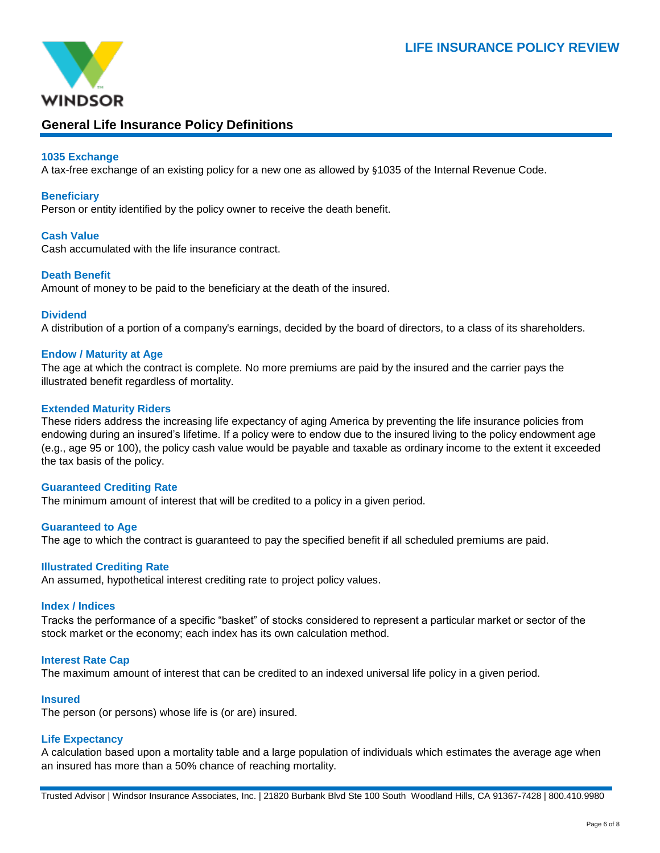

# **General Life Insurance Policy Definitions**

# **1035 Exchange**

A tax-free exchange of an existing policy for a new one as allowed by §1035 of the Internal Revenue Code.

#### **Beneficiary**

Person or entity identified by the policy owner to receive the death benefit.

#### **Cash Value**

Cash accumulated with the life insurance contract.

#### **Death Benefit**

Amount of money to be paid to the beneficiary at the death of the insured.

#### **Dividend**

A distribution of a portion of a company's earnings, decided by the board of directors, to a class of its shareholders.

#### **Endow / Maturity at Age**

The age at which the contract is complete. No more premiums are paid by the insured and the carrier pays the illustrated benefit regardless of mortality.

#### **Extended Maturity Riders**

These riders address the increasing life expectancy of aging America by preventing the life insurance policies from endowing during an insured's lifetime. If a policy were to endow due to the insured living to the policy endowment age (e.g., age 95 or 100), the policy cash value would be payable and taxable as ordinary income to the extent it exceeded the tax basis of the policy.

#### **Guaranteed Crediting Rate**

The minimum amount of interest that will be credited to a policy in a given period.

#### **Guaranteed to Age** The age to which the contract is guaranteed to pay the specified benefit if all scheduled premiums are paid.

#### **Illustrated Crediting Rate**

An assumed, hypothetical interest crediting rate to project policy values.

#### **Index / Indices**

Tracks the performance of a specific "basket" of stocks considered to represent a particular market or sector of the stock market or the economy; each index has its own calculation method.

# **Interest Rate Cap**

The maximum amount of interest that can be credited to an indexed universal life policy in a given period.

# **Insured**

The person (or persons) whose life is (or are) insured.

# **Life Expectancy**

A calculation based upon a mortality table and a large population of individuals which estimates the average age when an insured has more than a 50% chance of reaching mortality.

Trusted Advisor | Windsor Insurance Associates, Inc. | 21820 Burbank Blvd Ste 100 South Woodland Hills, CA 91367-7428 | 800.410.9980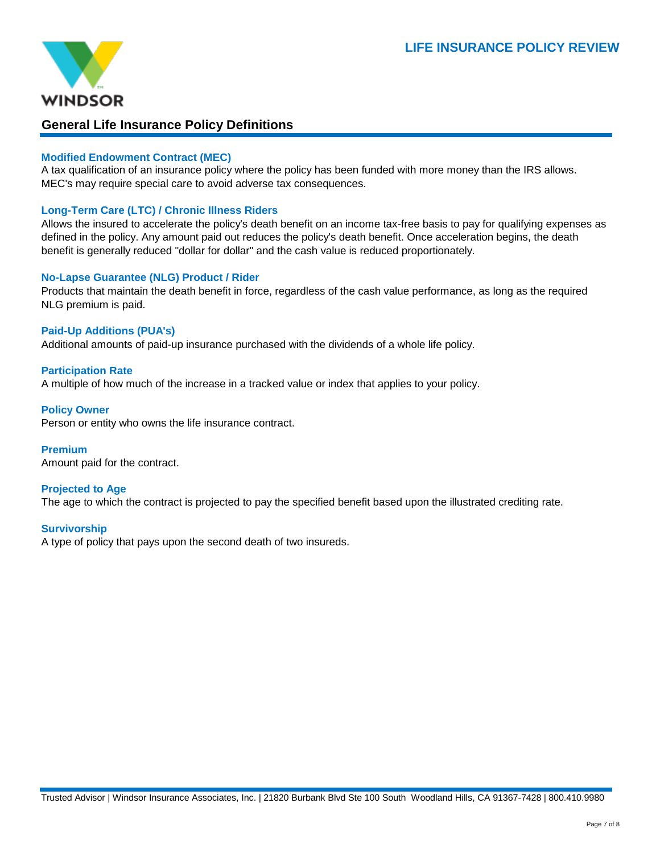

# **General Life Insurance Policy Definitions**

# **Modified Endowment Contract (MEC)**

A tax qualification of an insurance policy where the policy has been funded with more money than the IRS allows. MEC's may require special care to avoid adverse tax consequences.

# **Long-Term Care (LTC) / Chronic Illness Riders**

Allows the insured to accelerate the policy's death benefit on an income tax-free basis to pay for qualifying expenses as defined in the policy. Any amount paid out reduces the policy's death benefit. Once acceleration begins, the death benefit is generally reduced "dollar for dollar" and the cash value is reduced proportionately.

# **No-Lapse Guarantee (NLG) Product / Rider**

Products that maintain the death benefit in force, regardless of the cash value performance, as long as the required NLG premium is paid.

# **Paid-Up Additions (PUA's)**

Additional amounts of paid-up insurance purchased with the dividends of a whole life policy.

# **Participation Rate**

A multiple of how much of the increase in a tracked value or index that applies to your policy.

#### **Policy Owner**

Person or entity who owns the life insurance contract.

# **Premium**

Amount paid for the contract.

# **Projected to Age**

The age to which the contract is projected to pay the specified benefit based upon the illustrated crediting rate.

# **Survivorship**

A type of policy that pays upon the second death of two insureds.